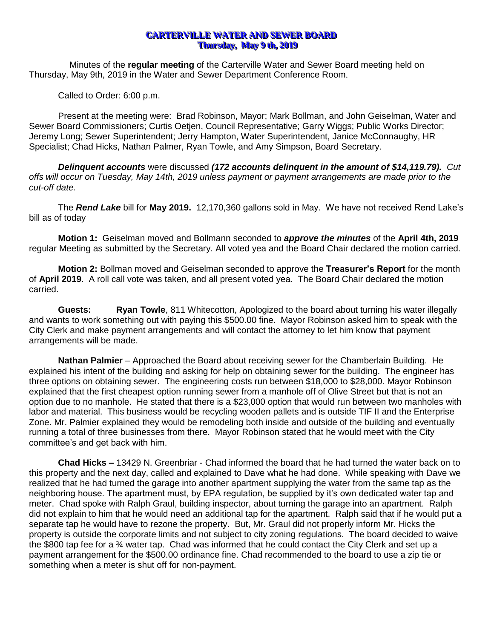## **CARTERVILLE WATER AND SEWER BOARD Thursday, May 9 th, 2019**

Minutes of the **regular meeting** of the Carterville Water and Sewer Board meeting held on Thursday, May 9th, 2019 in the Water and Sewer Department Conference Room.

Called to Order: 6:00 p.m.

Present at the meeting were: Brad Robinson, Mayor; Mark Bollman, and John Geiselman, Water and Sewer Board Commissioners; Curtis Oetjen, Council Representative; Garry Wiggs; Public Works Director; Jeremy Long; Sewer Superintendent; Jerry Hampton, Water Superintendent, Janice McConnaughy, HR Specialist; Chad Hicks, Nathan Palmer, Ryan Towle, and Amy Simpson, Board Secretary.

*Delinquent accounts* were discussed *(172 accounts delinquent in the amount of \$14,119.79). Cut offs will occur on Tuesday, May 14th, 2019 unless payment or payment arrangements are made prior to the cut-off date.*

The *Rend Lake* bill for **May 2019.** 12,170,360 gallons sold in May. We have not received Rend Lake's bill as of today

**Motion 1:** Geiselman moved and Bollmann seconded to *approve the minutes* of the **April 4th, 2019** regular Meeting as submitted by the Secretary. All voted yea and the Board Chair declared the motion carried.

**Motion 2:** Bollman moved and Geiselman seconded to approve the **Treasurer's Report** for the month of **April 2019**. A roll call vote was taken, and all present voted yea. The Board Chair declared the motion carried.

**Guests: Ryan Towle**, 811 Whitecotton, Apologized to the board about turning his water illegally and wants to work something out with paying this \$500.00 fine. Mayor Robinson asked him to speak with the City Clerk and make payment arrangements and will contact the attorney to let him know that payment arrangements will be made.

**Nathan Palmier** – Approached the Board about receiving sewer for the Chamberlain Building. He explained his intent of the building and asking for help on obtaining sewer for the building. The engineer has three options on obtaining sewer. The engineering costs run between \$18,000 to \$28,000. Mayor Robinson explained that the first cheapest option running sewer from a manhole off of Olive Street but that is not an option due to no manhole. He stated that there is a \$23,000 option that would run between two manholes with labor and material. This business would be recycling wooden pallets and is outside TIF II and the Enterprise Zone. Mr. Palmier explained they would be remodeling both inside and outside of the building and eventually running a total of three businesses from there. Mayor Robinson stated that he would meet with the City committee's and get back with him.

**Chad Hicks –** 13429 N. Greenbriar - Chad informed the board that he had turned the water back on to this property and the next day, called and explained to Dave what he had done. While speaking with Dave we realized that he had turned the garage into another apartment supplying the water from the same tap as the neighboring house. The apartment must, by EPA regulation, be supplied by it's own dedicated water tap and meter. Chad spoke with Ralph Graul, building inspector, about turning the garage into an apartment. Ralph did not explain to him that he would need an additional tap for the apartment. Ralph said that if he would put a separate tap he would have to rezone the property. But, Mr. Graul did not properly inform Mr. Hicks the property is outside the corporate limits and not subject to city zoning regulations. The board decided to waive the \$800 tap fee for a  $\frac{3}{4}$  water tap. Chad was informed that he could contact the City Clerk and set up a payment arrangement for the \$500.00 ordinance fine. Chad recommended to the board to use a zip tie or something when a meter is shut off for non-payment.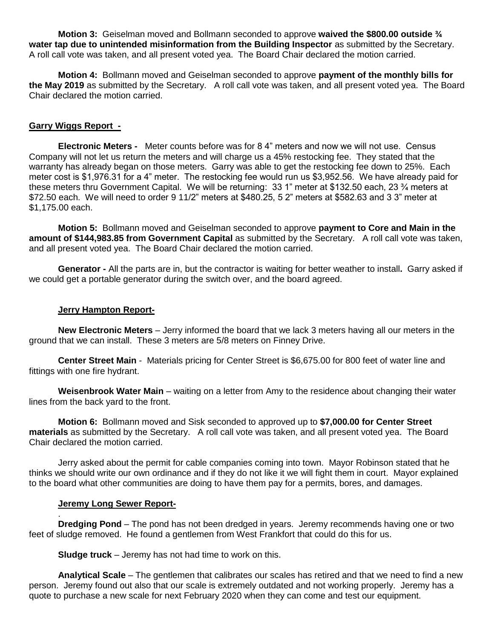**Motion 3:** Geiselman moved and Bollmann seconded to approve **waived the \$800.00 outside ¾ water tap due to unintended misinformation from the Building Inspector** as submitted by the Secretary. A roll call vote was taken, and all present voted yea. The Board Chair declared the motion carried.

**Motion 4:** Bollmann moved and Geiselman seconded to approve **payment of the monthly bills for the May 2019** as submitted by the Secretary. A roll call vote was taken, and all present voted yea. The Board Chair declared the motion carried.

# **Garry Wiggs Report -**

**Electronic Meters -** Meter counts before was for 8 4" meters and now we will not use. Census Company will not let us return the meters and will charge us a 45% restocking fee. They stated that the warranty has already began on those meters. Garry was able to get the restocking fee down to 25%. Each meter cost is \$1,976.31 for a 4" meter. The restocking fee would run us \$3,952.56. We have already paid for these meters thru Government Capital. We will be returning: 33 1" meter at \$132.50 each, 23 ¾ meters at \$72.50 each. We will need to order 9 11/2" meters at \$480.25, 5 2" meters at \$582.63 and 3 3" meter at \$1,175.00 each.

**Motion 5:** Bollmann moved and Geiselman seconded to approve **payment to Core and Main in the amount of \$144,983.85 from Government Capital** as submitted by the Secretary. A roll call vote was taken, and all present voted yea. The Board Chair declared the motion carried.

**Generator -** All the parts are in, but the contractor is waiting for better weather to install**.** Garry asked if we could get a portable generator during the switch over, and the board agreed.

### **Jerry Hampton Report-**

**New Electronic Meters** – Jerry informed the board that we lack 3 meters having all our meters in the ground that we can install. These 3 meters are 5/8 meters on Finney Drive.

**Center Street Main** - Materials pricing for Center Street is \$6,675.00 for 800 feet of water line and fittings with one fire hydrant.

**Weisenbrook Water Main** – waiting on a letter from Amy to the residence about changing their water lines from the back yard to the front.

**Motion 6:** Bollmann moved and Sisk seconded to approved up to **\$7,000.00 for Center Street materials** as submitted by the Secretary. A roll call vote was taken, and all present voted yea. The Board Chair declared the motion carried.

Jerry asked about the permit for cable companies coming into town. Mayor Robinson stated that he thinks we should write our own ordinance and if they do not like it we will fight them in court. Mayor explained to the board what other communities are doing to have them pay for a permits, bores, and damages.

#### **Jeremy Long Sewer Report-**

. **Dredging Pond** – The pond has not been dredged in years. Jeremy recommends having one or two feet of sludge removed. He found a gentlemen from West Frankfort that could do this for us.

**Sludge truck** – Jeremy has not had time to work on this.

**Analytical Scale** – The gentlemen that calibrates our scales has retired and that we need to find a new person. Jeremy found out also that our scale is extremely outdated and not working properly. Jeremy has a quote to purchase a new scale for next February 2020 when they can come and test our equipment.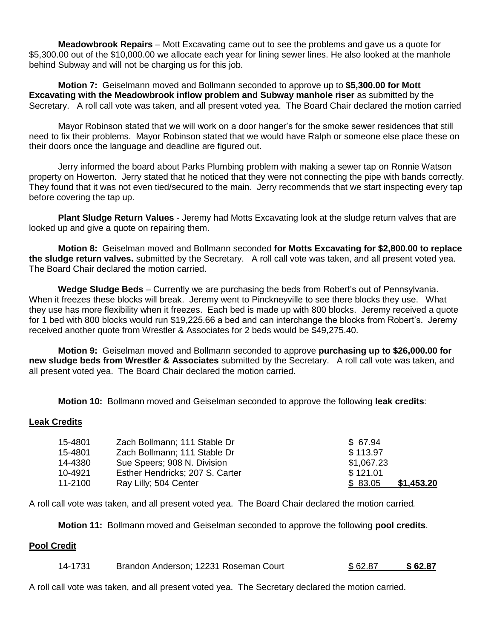**Meadowbrook Repairs** – Mott Excavating came out to see the problems and gave us a quote for \$5,300.00 out of the \$10,000.00 we allocate each year for lining sewer lines. He also looked at the manhole behind Subway and will not be charging us for this job.

**Motion 7:** Geiselmann moved and Bollmann seconded to approve up to **\$5,300.00 for Mott Excavating with the Meadowbrook inflow problem and Subway manhole riser** as submitted by the Secretary. A roll call vote was taken, and all present voted yea. The Board Chair declared the motion carried

Mayor Robinson stated that we will work on a door hanger's for the smoke sewer residences that still need to fix their problems. Mayor Robinson stated that we would have Ralph or someone else place these on their doors once the language and deadline are figured out.

Jerry informed the board about Parks Plumbing problem with making a sewer tap on Ronnie Watson property on Howerton. Jerry stated that he noticed that they were not connecting the pipe with bands correctly. They found that it was not even tied/secured to the main. Jerry recommends that we start inspecting every tap before covering the tap up.

**Plant Sludge Return Values** - Jeremy had Motts Excavating look at the sludge return valves that are looked up and give a quote on repairing them.

**Motion 8:** Geiselman moved and Bollmann seconded **for Motts Excavating for \$2,800.00 to replace the sludge return valves.** submitted by the Secretary. A roll call vote was taken, and all present voted yea. The Board Chair declared the motion carried.

**Wedge Sludge Beds** – Currently we are purchasing the beds from Robert's out of Pennsylvania. When it freezes these blocks will break. Jeremy went to Pinckneyville to see there blocks they use. What they use has more flexibility when it freezes. Each bed is made up with 800 blocks. Jeremy received a quote for 1 bed with 800 blocks would run \$19,225.66 a bed and can interchange the blocks from Robert's. Jeremy received another quote from Wrestler & Associates for 2 beds would be \$49,275.40.

**Motion 9:** Geiselman moved and Bollmann seconded to approve **purchasing up to \$26,000.00 for new sludge beds from Wrestler & Associates** submitted by the Secretary. A roll call vote was taken, and all present voted yea. The Board Chair declared the motion carried.

**Motion 10:** Bollmann moved and Geiselman seconded to approve the following **leak credits**:

#### **Leak Credits**

| 15-4801 | Zach Bollmann; 111 Stable Dr    | \$ 67.94              |
|---------|---------------------------------|-----------------------|
| 15-4801 | Zach Bollmann; 111 Stable Dr    | \$113.97              |
| 14-4380 | Sue Speers; 908 N. Division     | \$1,067.23            |
| 10-4921 | Esther Hendricks; 207 S. Carter | \$121.01              |
| 11-2100 | Ray Lilly; 504 Center           | \$1,453.20<br>\$83.05 |

A roll call vote was taken, and all present voted yea. The Board Chair declared the motion carried*.*

**Motion 11:** Bollmann moved and Geiselman seconded to approve the following **pool credits**.

#### **Pool Credit**

14-1731 Brandon Anderson; 12231 Roseman Court \$ 62.87 **\$ 62.87** 

A roll call vote was taken, and all present voted yea. The Secretary declared the motion carried*.*